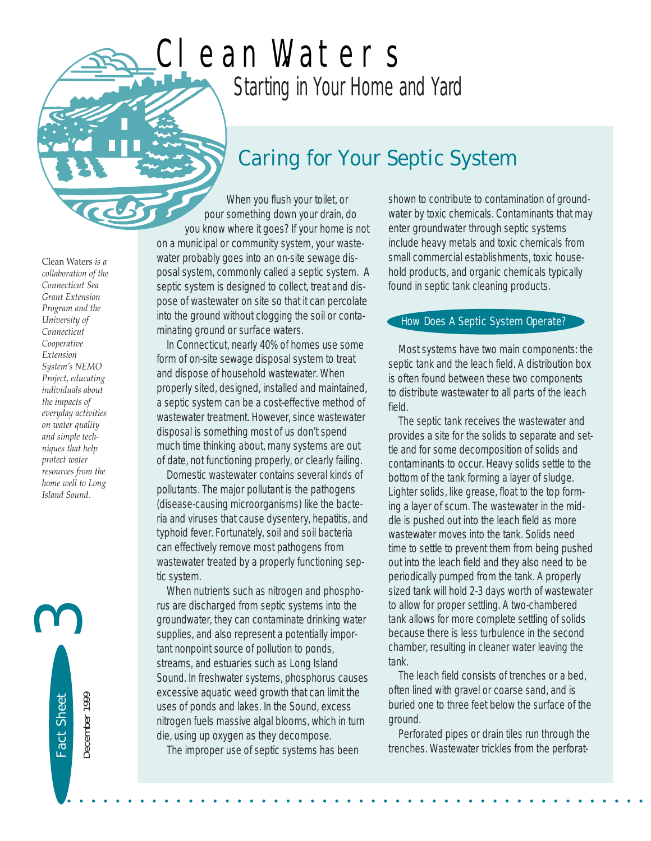# *Starting in Your Home and Yard* Clean Waters

### *Caring for Your Septic System*

When you flush your toilet, or pour something down your drain, do you know where it goes? If your home is not on a municipal or community system, your wastewater probably goes into an on-site sewage disposal system, commonly called a septic system. A septic system is designed to collect, treat and dispose of wastewater on site so that it can percolate into the ground without clogging the soil or contaminating ground or surface waters.

In Connecticut, nearly 40% of homes use some form of on-site sewage disposal system to treat and dispose of household wastewater. When properly sited, designed, installed and maintained, a septic system can be a cost-effective method of wastewater treatment. However, since wastewater disposal is something most of us don't spend much time thinking about, many systems are out of date, not functioning properly, or clearly failing.

Domestic wastewater contains several kinds of pollutants. The major pollutant is the pathogens (disease-causing microorganisms) like the bacteria and viruses that cause dysentery, hepatitis, and typhoid fever. Fortunately, soil and soil bacteria can effectively remove most pathogens from wastewater treated by a properly functioning septic system.

When nutrients such as nitrogen and phosphorus are discharged from septic systems into the groundwater, they can contaminate drinking water supplies, and also represent a potentially important nonpoint source of pollution to ponds, streams, and estuaries such as Long Island Sound. In freshwater systems, phosphorus causes excessive aquatic weed growth that can limit the uses of ponds and lakes. In the Sound, excess nitrogen fuels massive algal blooms, which in turn die, using up oxygen as they decompose.

The improper use of septic systems has been

• • • • • • • • • • • • • • • • • • • • • • • • • • • • • • • • • • • • • • • • • • • • • • • •

shown to contribute to contamination of groundwater by toxic chemicals. Contaminants that may enter groundwater through septic systems include heavy metals and toxic chemicals from small commercial establishments, toxic household products, and organic chemicals typically found in septic tank cleaning products.

#### How Does A Septic System Operate?

Most systems have two main components: the septic tank and the leach field. A distribution box is often found between these two components to distribute wastewater to all parts of the leach field.

The septic tank receives the wastewater and provides a site for the solids to separate and settle and for some decomposition of solids and contaminants to occur. Heavy solids settle to the bottom of the tank forming a layer of sludge. Lighter solids, like grease, float to the top forming a layer of scum. The wastewater in the middle is pushed out into the leach field as more wastewater moves into the tank. Solids need time to settle to prevent them from being pushed out into the leach field and they also need to be periodically pumped from the tank. A properly sized tank will hold 2-3 days worth of wastewater to allow for proper settling. A two-chambered tank allows for more complete settling of solids because there is less turbulence in the second chamber, resulting in cleaner water leaving the tank.

The leach field consists of trenches or a bed, often lined with gravel or coarse sand, and is buried one to three feet below the surface of the ground.

Perforated pipes or drain tiles run through the trenches. Wastewater trickles from the perforat-

Clean Waters *is a collaboration of the Connecticut Sea Grant Extension Program and the University of Connecticut Cooperative Extension System's NEMO Project, educating individuals about the impacts of everyday activities on water quality and simple techniques that help protect water resources from the home well to Long Island Sound.* 

Fact Sheet

Fact Sheet

December 1999

December 1999

3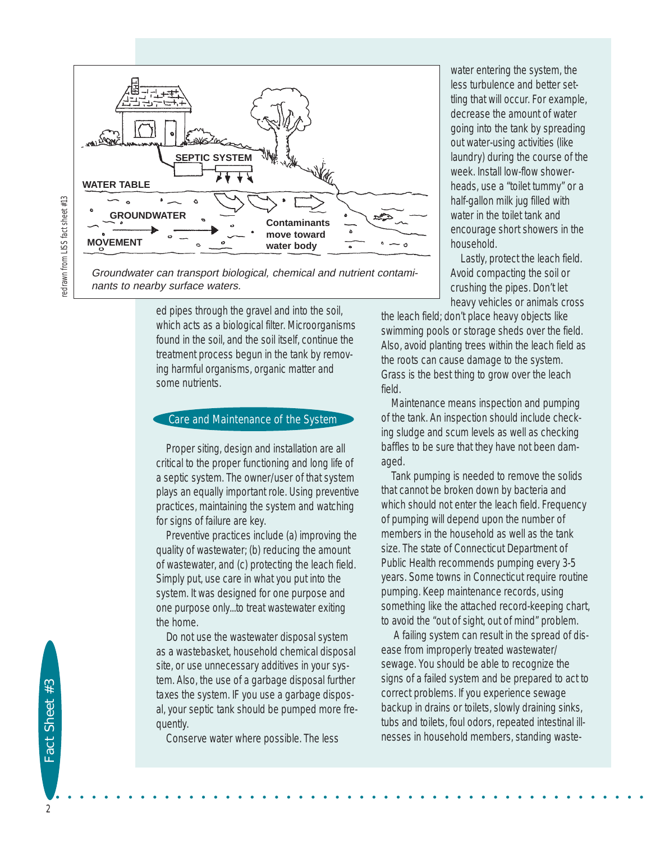

Groundwater can transport biological, chemical and nutrient contaminants to nearby surface waters.

> ed pipes through the gravel and into the soil, which acts as a biological filter. Microorganisms found in the soil, and the soil itself, continue the treatment process begun in the tank by removing harmful organisms, organic matter and some nutrients.

#### Care and Maintenance of the System

Proper siting, design and installation are all critical to the proper functioning and long life of a septic system. The owner/user of that system plays an equally important role. Using preventive practices, maintaining the system and watching for signs of failure are key.

Preventive practices include (a) improving the quality of wastewater; (b) reducing the amount of wastewater, and (c) protecting the leach field. Simply put, use care in what you put into the system. It was designed for one purpose and one purpose only...to treat wastewater exiting the home.

Do not use the wastewater disposal system as a wastebasket, household chemical disposal site, or use unnecessary additives in your system. Also, the use of a garbage disposal further taxes the system. IF you use a garbage disposal, your septic tank should be pumped more frequently.

Conserve water where possible. The less

water entering the system, the less turbulence and better settling that will occur. For example, decrease the amount of water going into the tank by spreading out water-using activities (like laundry) during the course of the week. Install low-flow showerheads, use a "toilet tummy" or a half-gallon milk jug filled with water in the toilet tank and encourage short showers in the household.

Lastly, protect the leach field. Avoid compacting the soil or crushing the pipes. Don't let heavy vehicles or animals cross

the leach field; don't place heavy objects like swimming pools or storage sheds over the field. Also, avoid planting trees within the leach field as the roots can cause damage to the system. Grass is the best thing to grow over the leach field.

Maintenance means inspection and pumping of the tank. An inspection should include checking sludge and scum levels as well as checking baffles to be sure that they have not been damaged.

Tank pumping is needed to remove the solids that cannot be broken down by bacteria and which should not enter the leach field. Frequency of pumping will depend upon the number of members in the household as well as the tank size. The state of Connecticut Department of Public Health recommends pumping every 3-5 years. Some towns in Connecticut require routine pumping. Keep maintenance records, using something like the attached record-keeping chart, to avoid the "out of sight, out of mind" problem.

A failing system can result in the spread of disease from improperly treated wastewater/ sewage. You should be able to recognize the signs of a failed system and be prepared to act to correct problems. If you experience sewage backup in drains or toilets, slowly draining sinks, tubs and toilets, foul odors, repeated intestinal illnesses in household members, standing waste-

2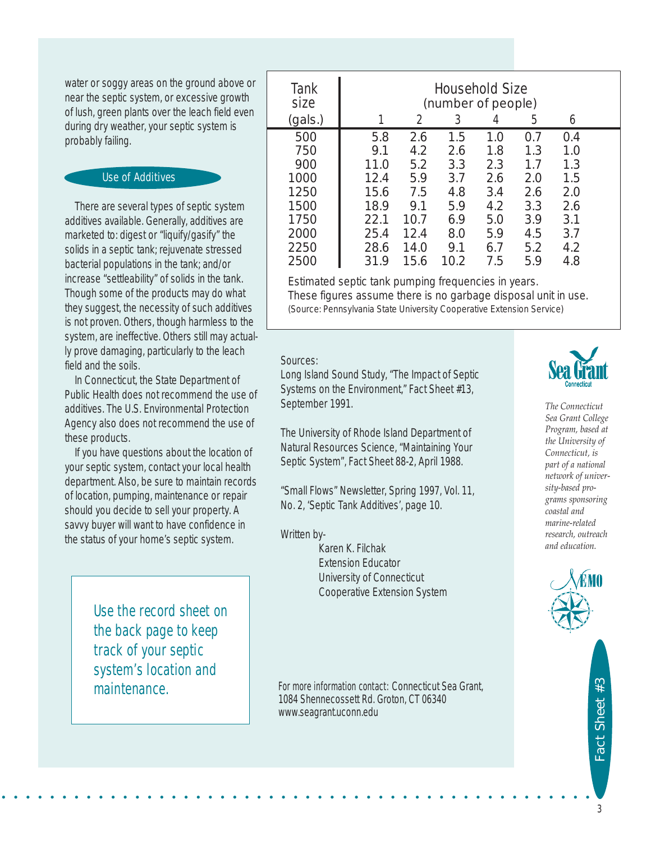water or soggy areas on the ground above or near the septic system, or excessive growth of lush, green plants over the leach field even during dry weather, your septic system is probably failing.

#### Use of Additives

There are several types of septic system additives available. Generally, additives are marketed to: digest or "liquify/gasify" the solids in a septic tank; rejuvenate stressed bacterial populations in the tank; and/or increase "settleability" of solids in the tank. Though some of the products may do what they suggest, the necessity of such additives is not proven. Others, though harmless to the system, are ineffective. Others still may actually prove damaging, particularly to the leach field and the soils.

In Connecticut, the State Department of Public Health does not recommend the use of additives. The U.S. Environmental Protection Agency also does not recommend the use of these products.

If you have questions about the location of your septic system, contact your local health department. Also, be sure to maintain records of location, pumping, maintenance or repair should you decide to sell your property. A savvy buyer will want to have confidence in the status of your home's septic system.

> Use the record sheet on the back page to keep track of your septic system's location and maintenance.

| Tank<br>size | Household Size<br>(number of people) |               |      |     |     |     |  |
|--------------|--------------------------------------|---------------|------|-----|-----|-----|--|
| (gals.)      |                                      | $\mathcal{L}$ | 3    | 4   | 5   | 6   |  |
| 500          | 5.8                                  | 2.6           | 1.5  | 1.0 | 0.7 | 0.4 |  |
| 750          | 9.1                                  | 4.2           | 2.6  | 1.8 | 1.3 | 1.0 |  |
| 900          | 11.0                                 | 5.2           | 3.3  | 2.3 | 1.7 | 1.3 |  |
| 1000         | 12.4                                 | 5.9           | 3.7  | 2.6 | 2.0 | 1.5 |  |
| 1250         | 15.6                                 | 7.5           | 4.8  | 3.4 | 2.6 | 2.0 |  |
| 1500         | 18.9                                 | 9.1           | 5.9  | 4.2 | 3.3 | 2.6 |  |
| 1750         | 22.1                                 | 10.7          | 6.9  | 5.0 | 3.9 | 3.1 |  |
| 2000         | 25.4                                 | 12.4          | 8.0  | 5.9 | 4.5 | 3.7 |  |
| 2250         | 28.6                                 | 14.0          | 9.1  | 6.7 | 5.2 | 4.2 |  |
| 2500         | 31.9                                 | 15.6          | 10.2 | 7.5 | 5.9 | 4.8 |  |

*Estimated septic tank pumping frequencies in years. These figures assume there is no garbage disposal unit in use. (Source: Pennsylvania State University Cooperative Extension Service)*

#### *Sources:*

Long Island Sound Study, "The Impact of Septic Systems on the Environment," Fact Sheet #13, September 1991.

The University of Rhode Island Department of Natural Resources Science, "Maintaining Your Septic System", Fact Sheet 88-2, April 1988.

"Small Flows" Newsletter, Spring 1997, Vol. 11, No. 2, 'Septic Tank Additives', page 10.

*Written by-*

• • • • • • • • • • • • • • • • • • • • • • • • • • • • • • • • • • • • • • • • • • • • • • • • •

Karen K. Filchak Extension Educator University of Connecticut Cooperative Extension System

For more information contact: Connecticut Sea Grant, 1084 Shennecossett Rd. Groton, CT 06340 www.seagrant.uconn.edu



*The Connecticut Sea Grant College Program, based at the University of Connecticut, is part of a national network of university-based programs sponsoring coastal and marine-related research, outreach and education.*